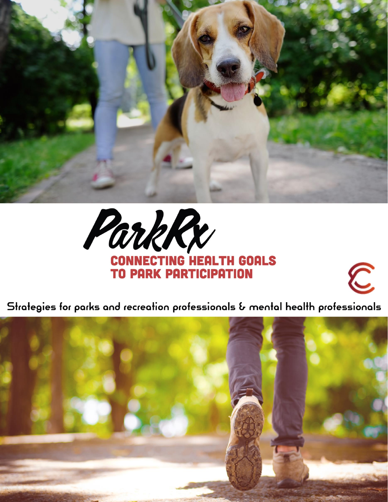





 $\widehat{\mathbb{C}}$ 

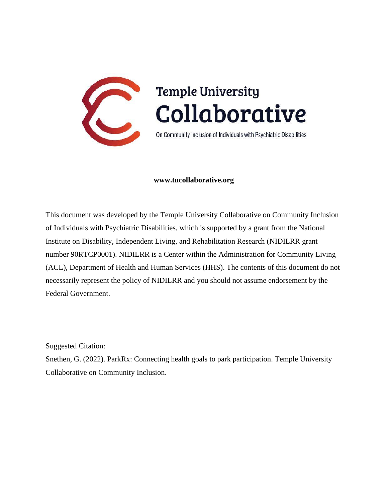

#### **www.tucollaborative.org**

This document was developed by the Temple University Collaborative on Community Inclusion of Individuals with Psychiatric Disabilities, which is supported by a grant from the National Institute on Disability, Independent Living, and Rehabilitation Research (NIDILRR grant number 90RTCP0001). NIDILRR is a Center within the Administration for Community Living (ACL), Department of Health and Human Services (HHS). The contents of this document do not necessarily represent the policy of NIDILRR and you should not assume endorsement by the Federal Government.

Suggested Citation:

Snethen, G. (2022). ParkRx: Connecting health goals to park participation. Temple University Collaborative on Community Inclusion.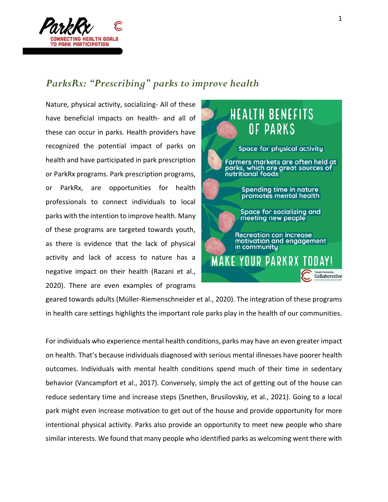

## *ParksRx: "Prescribing" parks to improve health*

Nature, physical activity, socializing- All of these have beneficial impacts on health- and all of these can occur in parks. Health providers have recognized the potential impact of parks on health and have participated in park prescription or ParkRx programs. Park prescription programs, or ParkRx, are opportunities for health professionals to connect individuals to local parks with the intention to improve health. Many of these programs are targeted towards youth, as there is evidence that the lack of physical activity and lack of access to nature has a negative impact on their health (Razani et al., 2020). There are even examples of programs



geared towards adults (Müller-Riemenschneider et al., 2020). The integration of these programs in health care settings highlights the important role parks play in the health of our communities.

For individuals who experience mental health conditions, parks may have an even greater impact on health. That's because individuals diagnosed with serious mental illnesses have poorer health outcomes. Individuals with mental health conditions spend much of their time in sedentary behavior (Vancampfort et al., 2017). Conversely, simply the act of getting out of the house can reduce sedentary time and increase steps (Snethen, Brusilovskiy, et al., 2021). Going to a local park might even increase motivation to get out of the house and provide opportunity for more intentional physical activity. Parks also provide an opportunity to meet new people who share similar interests. We found that many people who identified parks as welcoming went there with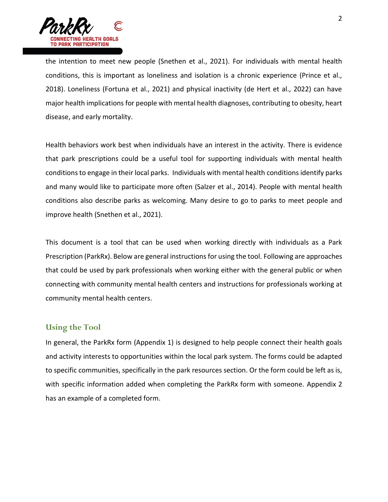

the intention to meet new people (Snethen et al., 2021). For individuals with mental health conditions, this is important as loneliness and isolation is a chronic experience (Prince et al., 2018). Loneliness (Fortuna et al., 2021) and physical inactivity (de Hert et al., 2022) can have major health implications for people with mental health diagnoses, contributing to obesity, heart disease, and early mortality.

Health behaviors work best when individuals have an interest in the activity. There is evidence that park prescriptions could be a useful tool for supporting individuals with mental health conditions to engage in their local parks. Individuals with mental health conditions identify parks and many would like to participate more often (Salzer et al., 2014). People with mental health conditions also describe parks as welcoming. Many desire to go to parks to meet people and improve health (Snethen et al., 2021).

This document is a tool that can be used when working directly with individuals as a Park Prescription (ParkRx). Below are general instructions for using the tool. Following are approaches that could be used by park professionals when working either with the general public or when connecting with community mental health centers and instructions for professionals working at community mental health centers.

#### **Using the Tool**

In general, the ParkRx form (Appendix 1) is designed to help people connect their health goals and activity interests to opportunities within the local park system. The forms could be adapted to specific communities, specifically in the park resources section. Or the form could be left as is, with specific information added when completing the ParkRx form with someone. Appendix 2 has an example of a completed form.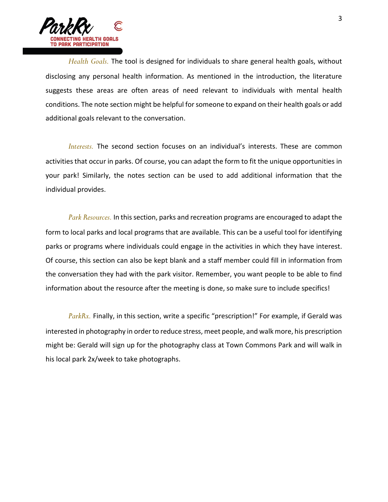

*Health Goals.* The tool is designed for individuals to share general health goals, without disclosing any personal health information. As mentioned in the introduction, the literature suggests these areas are often areas of need relevant to individuals with mental health conditions. The note section might be helpful for someone to expand on their health goals or add additional goals relevant to the conversation.

*Interests.* The second section focuses on an individual's interests. These are common activities that occur in parks. Of course, you can adapt the form to fit the unique opportunities in your park! Similarly, the notes section can be used to add additional information that the individual provides.

*Park Resources.* In this section, parks and recreation programs are encouraged to adapt the form to local parks and local programs that are available. This can be a useful tool for identifying parks or programs where individuals could engage in the activities in which they have interest. Of course, this section can also be kept blank and a staff member could fill in information from the conversation they had with the park visitor. Remember, you want people to be able to find information about the resource after the meeting is done, so make sure to include specifics!

*ParkRx.* Finally, in this section, write a specific "prescription!" For example, if Gerald was interested in photography in order to reduce stress, meet people, and walk more, his prescription might be: Gerald will sign up for the photography class at Town Commons Park and will walk in his local park 2x/week to take photographs.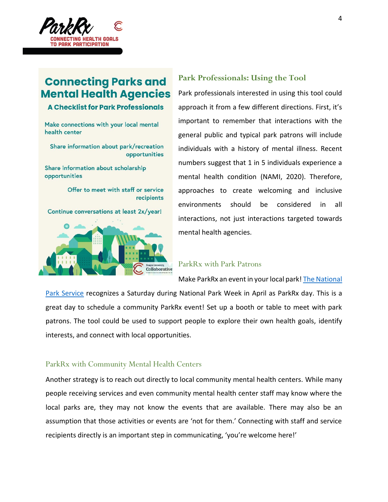

# **Connecting Parks and Mental Health Agencies**

#### **A Checklist for Park Professionals**

Make connections with your local mental health center

Share information about park/recreation opportunities

Share information about scholarship opportunities

> Offer to meet with staff or service recipients

Continue conversations at least 2x/year!



#### **Park Professionals: Using the Tool**

Park professionals interested in using this tool could approach it from a few different directions. First, it's important to remember that interactions with the general public and typical park patrons will include individuals with a history of mental illness. Recent numbers suggest that 1 in 5 individuals experience a mental health condition (NAMI, 2020). Therefore, approaches to create welcoming and inclusive environments should be considered in all interactions, not just interactions targeted towards mental health agencies.

#### ParkRx with Park Patrons

Make ParkRx an event in your local park[! The National](https://www.nps.gov/subjects/healthandsafety/park-rx.htm) 

[Park Service](https://www.nps.gov/subjects/healthandsafety/park-rx.htm) recognizes a Saturday during National Park Week in April as ParkRx day. This is a great day to schedule a community ParkRx event! Set up a booth or table to meet with park patrons. The tool could be used to support people to explore their own health goals, identify interests, and connect with local opportunities.

#### ParkRx with Community Mental Health Centers

Another strategy is to reach out directly to local community mental health centers. While many people receiving services and even community mental health center staff may know where the local parks are, they may not know the events that are available. There may also be an assumption that those activities or events are 'not for them.' Connecting with staff and service recipients directly is an important step in communicating, 'you're welcome here!'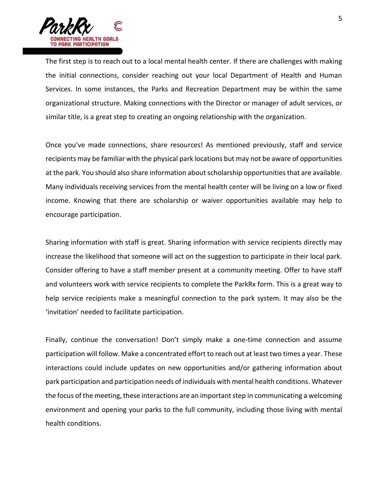

The first step is to reach out to a local mental health center. If there are challenges with making the initial connections, consider reaching out your local Department of Health and Human Services. In some instances, the Parks and Recreation Department may be within the same organizational structure. Making connections with the Director or manager of adult services, or similar title, is a great step to creating an ongoing relationship with the organization.

Once you've made connections, share resources! As mentioned previously, staff and service recipients may be familiar with the physical park locations but may not be aware of opportunities at the park. You should also share information about scholarship opportunities that are available. Many individuals receiving services from the mental health center will be living on a low or fixed income. Knowing that there are scholarship or waiver opportunities available may help to encourage participation.

Sharing information with staff is great. Sharing information with service recipients directly may increase the likelihood that someone will act on the suggestion to participate in their local park. Consider offering to have a staff member present at a community meeting. Offer to have staff and volunteers work with service recipients to complete the ParkRx form. This is a great way to help service recipients make a meaningful connection to the park system. It may also be the 'invitation' needed to facilitate participation.

Finally, continue the conversation! Don't simply make a one-time connection and assume participation will follow. Make a concentrated effort to reach out at least two times a year. These interactions could include updates on new opportunities and/or gathering information about park participation and participation needs of individuals with mental health conditions. Whatever the focus of the meeting, these interactions are an important step in communicating a welcoming environment and opening your parks to the full community, including those living with mental health conditions.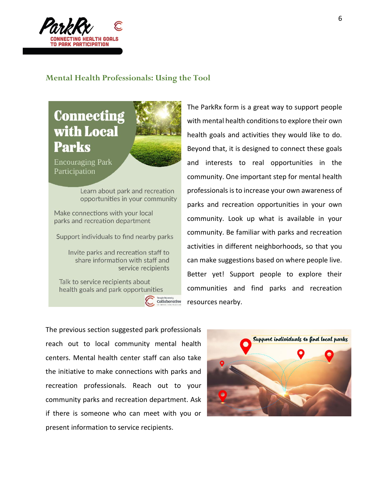

#### **Mental Health Professionals: Using the Tool**

**Connecting** with Local **Parks** 



**Encouraging Park** Participation

> Learn about park and recreation opportunities in your community

Make connections with your local parks and recreation department

Support individuals to find nearby parks

Invite parks and recreation staff to share information with staff and service recipients

Talk to service recipients about health goals and park opportunities



The ParkRx form is a great way to support people with mental health conditions to explore their own health goals and activities they would like to do. Beyond that, it is designed to connect these goals and interests to real opportunities in the community. One important step for mental health professionals is to increase your own awareness of parks and recreation opportunities in your own community. Look up what is available in your community. Be familiar with parks and recreation activities in different neighborhoods, so that you can make suggestions based on where people live. Better yet! Support people to explore their communities and find parks and recreation resources nearby.

The previous section suggested park professionals reach out to local community mental health centers. Mental health center staff can also take the initiative to make connections with parks and recreation professionals. Reach out to your community parks and recreation department. Ask if there is someone who can meet with you or present information to service recipients.

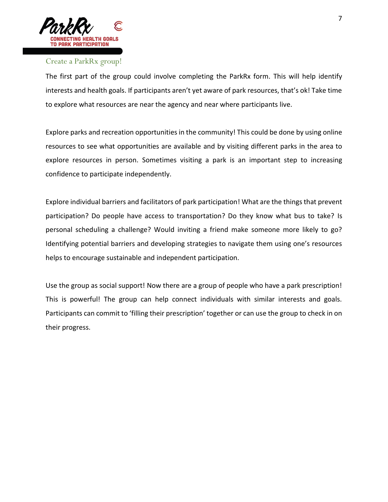

### Create a ParkRx group!

The first part of the group could involve completing the ParkRx form. This will help identify interests and health goals. If participants aren't yet aware of park resources, that's ok! Take time to explore what resources are near the agency and near where participants live.

Explore parks and recreation opportunities in the community! This could be done by using online resources to see what opportunities are available and by visiting different parks in the area to explore resources in person. Sometimes visiting a park is an important step to increasing confidence to participate independently.

Explore individual barriers and facilitators of park participation! What are the things that prevent participation? Do people have access to transportation? Do they know what bus to take? Is personal scheduling a challenge? Would inviting a friend make someone more likely to go? Identifying potential barriers and developing strategies to navigate them using one's resources helps to encourage sustainable and independent participation.

Use the group as social support! Now there are a group of people who have a park prescription! This is powerful! The group can help connect individuals with similar interests and goals. Participants can commit to 'filling their prescription' together or can use the group to check in on their progress.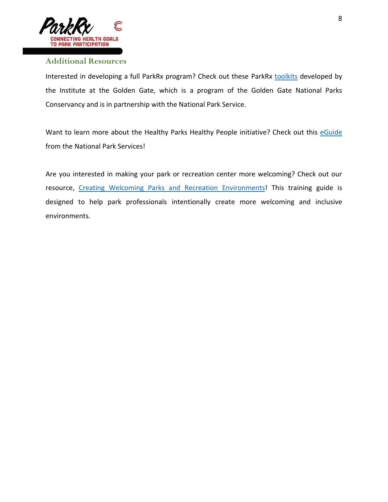

#### **Additional Resources**

Interested in developing a full ParkRx program? Check out these ParkRx [toolkits](https://www.parkrx.org/parkrx-toolkit) developed by the Institute at the Golden Gate, which is a program of the Golden Gate National Parks Conservancy and is in partnership with the National Park Service.

Want to learn more about the Healthy Parks Healthy People initiative? Check out this [eGuide](https://www.nps.gov/subjects/healthandsafety/upload/HealthyParksHealthyPeople_eGuide.pdf) from the National Park Services!

Are you interested in making your park or recreation center more welcoming? Check out our resource, [Creating Welcoming Parks and Recreation Environments!](http://www.tucollaborative.org/creating-welcoming-parks-and-recreation-environments/) This training guide is designed to help park professionals intentionally create more welcoming and inclusive environments.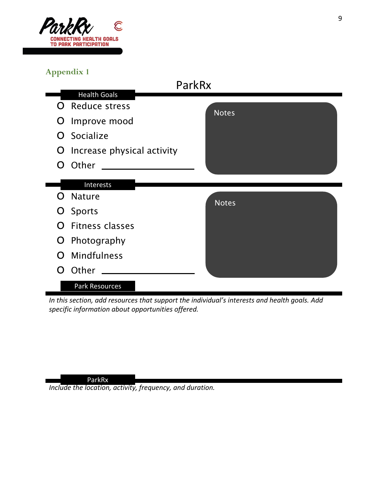

## **Appendix 1**



*In this section, add resources that support the individual's interests and health goals. Add specific information about opportunities offered.* 

#### ParkRx

*Include the location, activity, frequency, and duration.*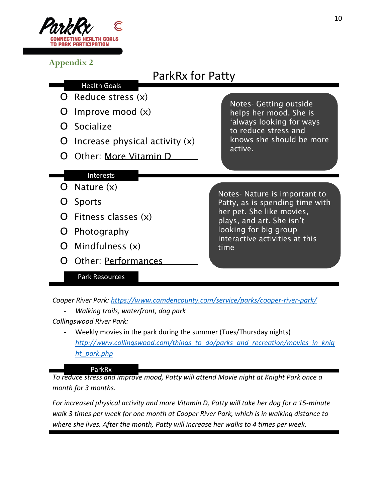

**Appendix 2**

# ParkRx for Patty

- o Reduce stress (x) Health Goals
- O Improve mood  $(x)$
- o Socialize

 $O$  Nature  $(x)$ 

o Sports

- O Increase physical activity  $(x)$
- o Other: More Vitamin D

Notes- Getting outside helps her mood. She is 'always looking for ways to reduce stress and knows she should be more active.

Notes- Nature is important to Patty, as is spending time with her pet. She like movies, plays, and art. She isn't looking for big group interactive activities at this time

o Mindfulness (x) o Other: Performances

o Photography

 $O$  Fitness classes  $(x)$ 

Interests

## Park Resources

*Cooper River Park:<https://www.camdencounty.com/service/parks/cooper-river-park/>*

- *Walking trails, waterfront, dog park*
- *Collingswood River Park:*
	- Weekly movies in the park during the summer (Tues/Thursday nights) *[http://www.collingswood.com/things\\_to\\_do/parks\\_and\\_recreation/movies\\_in\\_knig](http://www.collingswood.com/things_to_do/parks_and_recreation/movies_in_knight_park.php) [ht\\_park.php](http://www.collingswood.com/things_to_do/parks_and_recreation/movies_in_knight_park.php)*

#### ParkRx

*To reduce stress and improve mood, Patty will attend Movie night at Knight Park once a month for 3 months.*

*For increased physical activity and more Vitamin D, Patty will take her dog for a 15-minute walk 3 times per week for one month at Cooper River Park, which is in walking distance to where she lives. After the month, Patty will increase her walks to 4 times per week.*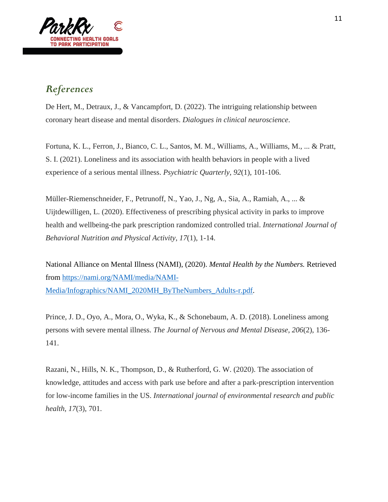

## *References*

De Hert, M., Detraux, J., & Vancampfort, D. (2022). The intriguing relationship between coronary heart disease and mental disorders. *Dialogues in clinical neuroscience*.

Fortuna, K. L., Ferron, J., Bianco, C. L., Santos, M. M., Williams, A., Williams, M., ... & Pratt, S. I. (2021). Loneliness and its association with health behaviors in people with a lived experience of a serious mental illness. *Psychiatric Quarterly*, *92*(1), 101-106.

Müller-Riemenschneider, F., Petrunoff, N., Yao, J., Ng, A., Sia, A., Ramiah, A., ... & Uijtdewilligen, L. (2020). Effectiveness of prescribing physical activity in parks to improve health and wellbeing-the park prescription randomized controlled trial. *International Journal of Behavioral Nutrition and Physical Activity*, *17*(1), 1-14.

National Alliance on Mental Illness (NAMI), (2020). *Mental Health by the Numbers.* Retrieved from [https://nami.org/NAMI/media/NAMI-](https://nami.org/NAMI/media/NAMI-Media/Infographics/NAMI_2020MH_ByTheNumbers_Adults-r.pdf)[Media/Infographics/NAMI\\_2020MH\\_ByTheNumbers\\_Adults-r.pdf.](https://nami.org/NAMI/media/NAMI-Media/Infographics/NAMI_2020MH_ByTheNumbers_Adults-r.pdf)

Prince, J. D., Oyo, A., Mora, O., Wyka, K., & Schonebaum, A. D. (2018). Loneliness among persons with severe mental illness. *The Journal of Nervous and Mental Disease*, *206*(2), 136- 141.

Razani, N., Hills, N. K., Thompson, D., & Rutherford, G. W. (2020). The association of knowledge, attitudes and access with park use before and after a park-prescription intervention for low-income families in the US. *International journal of environmental research and public health*, *17*(3), 701.